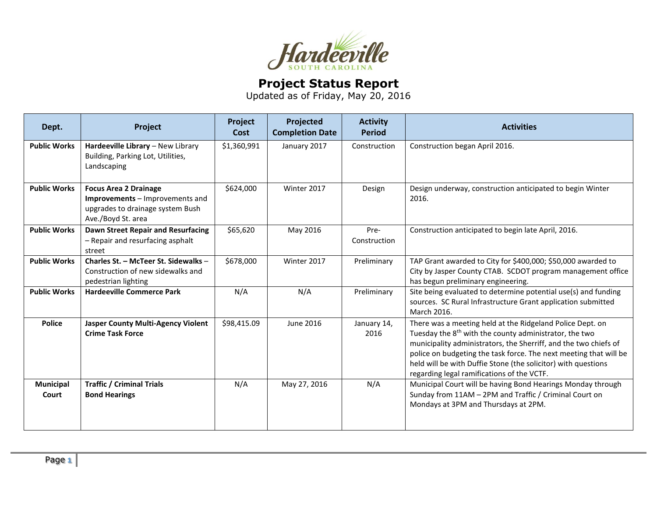

## **Project Status Report**

Updated as of Friday, May 20, 2016

| Dept.                     | Project                                                                                                                   | Project<br>Cost | Projected<br><b>Completion Date</b> | <b>Activity</b><br><b>Period</b> | <b>Activities</b>                                                                                                                                                                                                                                                                                                                                                                       |
|---------------------------|---------------------------------------------------------------------------------------------------------------------------|-----------------|-------------------------------------|----------------------------------|-----------------------------------------------------------------------------------------------------------------------------------------------------------------------------------------------------------------------------------------------------------------------------------------------------------------------------------------------------------------------------------------|
| <b>Public Works</b>       | Hardeeville Library - New Library<br>Building, Parking Lot, Utilities,<br>Landscaping                                     | \$1,360,991     | January 2017                        | Construction                     | Construction began April 2016.                                                                                                                                                                                                                                                                                                                                                          |
| <b>Public Works</b>       | <b>Focus Area 2 Drainage</b><br>Improvements - Improvements and<br>upgrades to drainage system Bush<br>Ave./Boyd St. area | \$624,000       | Winter 2017                         | Design                           | Design underway, construction anticipated to begin Winter<br>2016.                                                                                                                                                                                                                                                                                                                      |
| <b>Public Works</b>       | Dawn Street Repair and Resurfacing<br>- Repair and resurfacing asphalt<br>street                                          | \$65,620        | May 2016                            | Pre-<br>Construction             | Construction anticipated to begin late April, 2016.                                                                                                                                                                                                                                                                                                                                     |
| <b>Public Works</b>       | Charles St. - McTeer St. Sidewalks -<br>Construction of new sidewalks and<br>pedestrian lighting                          | \$678,000       | Winter 2017                         | Preliminary                      | TAP Grant awarded to City for \$400,000; \$50,000 awarded to<br>City by Jasper County CTAB. SCDOT program management office<br>has begun preliminary engineering.                                                                                                                                                                                                                       |
| <b>Public Works</b>       | <b>Hardeeville Commerce Park</b>                                                                                          | N/A             | N/A                                 | Preliminary                      | Site being evaluated to determine potential use(s) and funding<br>sources. SC Rural Infrastructure Grant application submitted<br>March 2016.                                                                                                                                                                                                                                           |
| <b>Police</b>             | <b>Jasper County Multi-Agency Violent</b><br><b>Crime Task Force</b>                                                      | \$98,415.09     | June 2016                           | January 14,<br>2016              | There was a meeting held at the Ridgeland Police Dept. on<br>Tuesday the 8 <sup>th</sup> with the county administrator, the two<br>municipality administrators, the Sherriff, and the two chiefs of<br>police on budgeting the task force. The next meeting that will be<br>held will be with Duffie Stone (the solicitor) with questions<br>regarding legal ramifications of the VCTF. |
| <b>Municipal</b><br>Court | <b>Traffic / Criminal Trials</b><br><b>Bond Hearings</b>                                                                  | N/A             | May 27, 2016                        | N/A                              | Municipal Court will be having Bond Hearings Monday through<br>Sunday from 11AM - 2PM and Traffic / Criminal Court on<br>Mondays at 3PM and Thursdays at 2PM.                                                                                                                                                                                                                           |